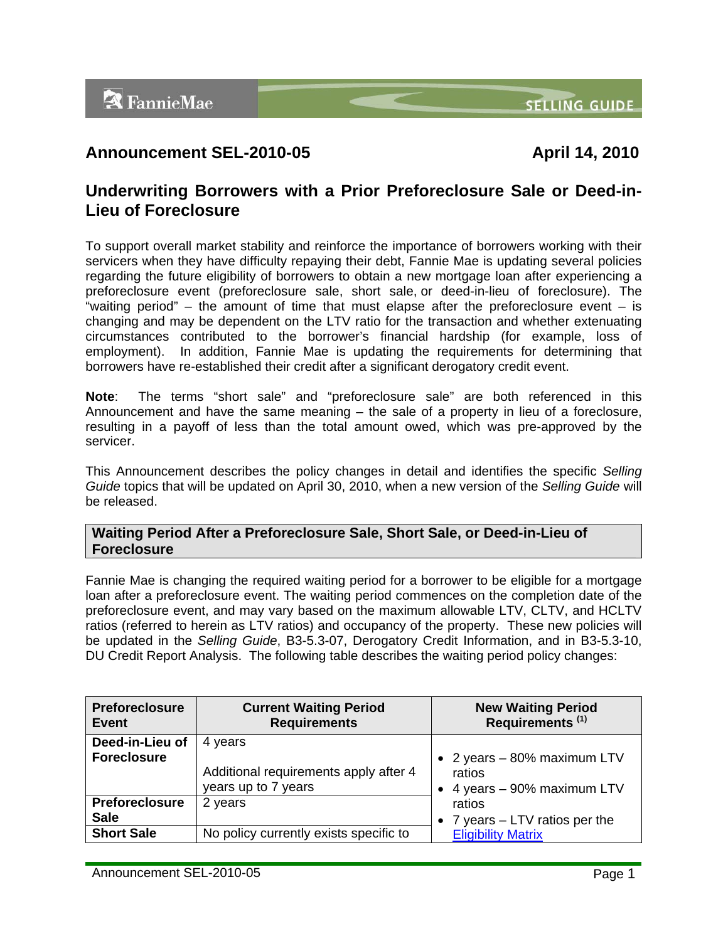**SELLING GUIDE** 

# **Announcement SEL-2010-05 April 14, 2010**

## **Underwriting Borrowers with a Prior Preforeclosure Sale or Deed-in-Lieu of Foreclosure**

To support overall market stability and reinforce the importance of borrowers working with their servicers when they have difficulty repaying their debt, Fannie Mae is updating several policies regarding the future eligibility of borrowers to obtain a new mortgage loan after experiencing a preforeclosure event (preforeclosure sale, short sale, or deed-in-lieu of foreclosure). The "waiting period" – the amount of time that must elapse after the preforeclosure event – is changing and may be dependent on the LTV ratio for the transaction and whether extenuating circumstances contributed to the borrower's financial hardship (for example, loss of employment). In addition, Fannie Mae is updating the requirements for determining that borrowers have re-established their credit after a significant derogatory credit event.

**Note**: The terms "short sale" and "preforeclosure sale" are both referenced in this Announcement and have the same meaning – the sale of a property in lieu of a foreclosure, resulting in a payoff of less than the total amount owed, which was pre-approved by the servicer.

This Announcement describes the policy changes in detail and identifies the specific *Selling Guide* topics that will be updated on April 30, 2010, when a new version of the *Selling Guide* will be released.

### **Waiting Period After a Preforeclosure Sale, Short Sale, or Deed-in-Lieu of Foreclosure**

Fannie Mae is changing the required waiting period for a borrower to be eligible for a mortgage loan after a preforeclosure event. The waiting period commences on the completion date of the preforeclosure event, and may vary based on the maximum allowable LTV, CLTV, and HCLTV ratios (referred to herein as LTV ratios) and occupancy of the property. These new policies will be updated in the *Selling Guide*, B3-5.3-07, Derogatory Credit Information, and in B3-5.3-10, DU Credit Report Analysis. The following table describes the waiting period policy changes:

| <b>Preforeclosure</b><br>Event        | <b>Current Waiting Period</b><br><b>Requirements</b>         | <b>New Waiting Period</b><br>Requirements <sup>(1)</sup>             |
|---------------------------------------|--------------------------------------------------------------|----------------------------------------------------------------------|
| Deed-in-Lieu of<br><b>Foreclosure</b> | 4 years                                                      |                                                                      |
|                                       | Additional requirements apply after 4<br>years up to 7 years | • 2 years - 80% maximum LTV<br>ratios<br>• 4 years - 90% maximum LTV |
| <b>Preforeclosure</b>                 | 2 years                                                      | ratios                                                               |
| <b>Sale</b>                           |                                                              | 7 years – LTV ratios per the                                         |
| <b>Short Sale</b>                     | No policy currently exists specific to                       | <b>Eligibility Matrix</b>                                            |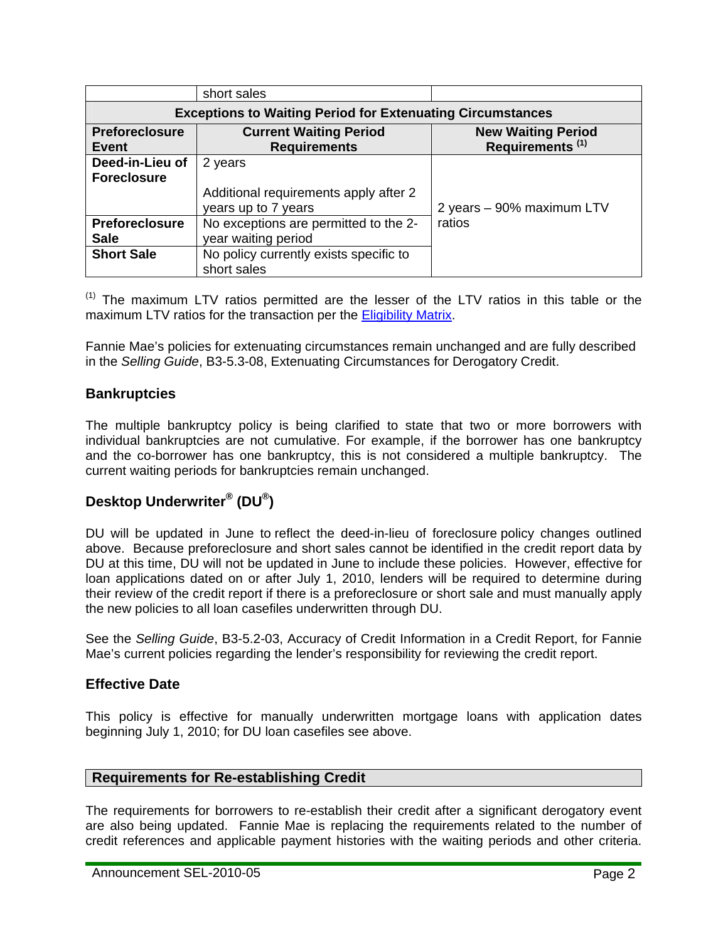|                                                                   | short sales                                                             |                                                          |  |
|-------------------------------------------------------------------|-------------------------------------------------------------------------|----------------------------------------------------------|--|
| <b>Exceptions to Waiting Period for Extenuating Circumstances</b> |                                                                         |                                                          |  |
| <b>Preforeclosure</b><br>Event                                    | <b>Current Waiting Period</b><br><b>Requirements</b>                    | <b>New Waiting Period</b><br>Requirements <sup>(1)</sup> |  |
| Deed-in-Lieu of<br><b>Foreclosure</b>                             | 2 years<br>Additional requirements apply after 2<br>years up to 7 years | 2 years - 90% maximum LTV                                |  |
| <b>Preforeclosure</b><br><b>Sale</b>                              | No exceptions are permitted to the 2-<br>year waiting period            | ratios                                                   |  |
| <b>Short Sale</b>                                                 | No policy currently exists specific to<br>short sales                   |                                                          |  |

 $<sup>(1)</sup>$  The maximum LTV ratios permitted are the lesser of the LTV ratios in this table or the</sup> maximum LTV ratios for the transaction per the [Eligibility Matrix](https://www.efanniemae.com/sf/refmaterials/eligibility/).

Fannie Mae's policies for extenuating circumstances remain unchanged and are fully described in the *Selling Guide*, B3-5.3-08, Extenuating Circumstances for Derogatory Credit.

## **Bankruptcies**

The multiple bankruptcy policy is being clarified to state that two or more borrowers with individual bankruptcies are not cumulative. For example, if the borrower has one bankruptcy and the co-borrower has one bankruptcy, this is not considered a multiple bankruptcy. The current waiting periods for bankruptcies remain unchanged.

## **Desktop Underwriter® (DU®)**

DU will be updated in June to reflect the deed-in-lieu of foreclosure policy changes outlined above. Because preforeclosure and short sales cannot be identified in the credit report data by DU at this time, DU will not be updated in June to include these policies. However, effective for loan applications dated on or after July 1, 2010, lenders will be required to determine during their review of the credit report if there is a preforeclosure or short sale and must manually apply the new policies to all loan casefiles underwritten through DU.

See the *Selling Guide*, B3-5.2-03, Accuracy of Credit Information in a Credit Report, for Fannie Mae's current policies regarding the lender's responsibility for reviewing the credit report.

## **Effective Date**

This policy is effective for manually underwritten mortgage loans with application dates beginning July 1, 2010; for DU loan casefiles see above.

### **Requirements for Re-establishing Credit**

The requirements for borrowers to re-establish their credit after a significant derogatory event are also being updated. Fannie Mae is replacing the requirements related to the number of credit references and applicable payment histories with the waiting periods and other criteria.